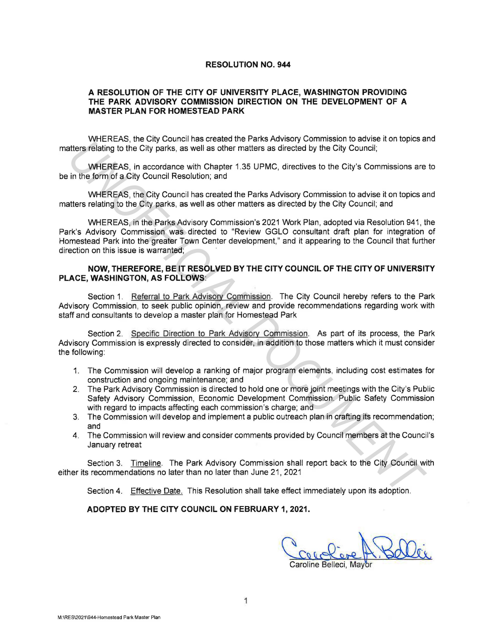## **RESOLUTION NO. 944**

## **A RESOLUTION OF THE CITY OF UNIVERSITY PLACE, WASHINGTON PROVIDING THE PARK ADVISORY COMMISSION DIRECTION ON THE DEVELOPMENT OF A MASTER PLAN FOR HOMESTEAD PARK**

WHEREAS, the City Council has created the Parks Advisory Commission to advise it on topics and matters relating to the City parks, as well as other matters as directed by the City Council;

WHEREAS, in accordance with Chapter 1.35 UPMC, directives to the City's Commissions are to be in the form of a City Council Resolution; and

WHEREAS, the City Council has created the Parks Advisory Commission to advise it on topics and matters relating to the City parks, as well as other matters as directed by the City Council; and

WHEREAS, in the Parks Advisory Commission's 2021 Work Plan, adopted via Resolution 941, the Park's Advisory Commission was directed to "Review GGLO consultant draft plan for integration of Homestead Park into the greater Town Center development," and it appearing to the Council that further direction on this issue is warranted; atters relating to the Oity potential of the Difference of the City Council;<br>
WHEREAS, in accordance with Chapter 1.35 UPMC, directives to the City's Council;<br>
WHEREAS, the condition and<br>
In the firm of a City Scurmit Reso

## **NOW, THEREFORE, BE IT RESOLVED BY THE CITY COUNCIL OF THE CITY OF UNIVERSITY PLACE, WASHINGTON, AS FOLLOWS:**

Section 1. Referral to Park Advisory Commission. The City Council hereby refers to the Park Advisory Commission, to seek public opinion, review and provide recommendations regarding work with staff and consultants to develop a master plan for Homestead Park

Section 2. Specific Direction to Park Advisory Commission. As part of its process, the Park Advisory Commission is expressly directed to consider, in addition to those matters which it must consider the following:

- 1. The Commission will develop a ranking of major program elements, including cost estimates for construction and ongoing maintenance; and
- 2. The Park Advisory Commission is directed to hold one or more joint meetings with the City's Public Safety Advisory Commission, Economic Development Commission. Public Safety Commission with regard to impacts affecting each commission's charge; and
- 3. The Commission will develop and implement a public outreach plan in crafting its recommendation; and
- 4. The Commission will review and consider comments provided by Council members at the Council's January retreat

Section 3. Timeline. The Park Advisory Commission shall report back to the City Council with either its recommendations no later than no later than June 21, 2021

Section 4. Effective Date. This Resolution shall take effect immediately upon its adoption.

## **ADOPTED BY THE CITY COUNCIL ON FEBRUARY 1, 2021.**

Coroline Belleci, Mayor